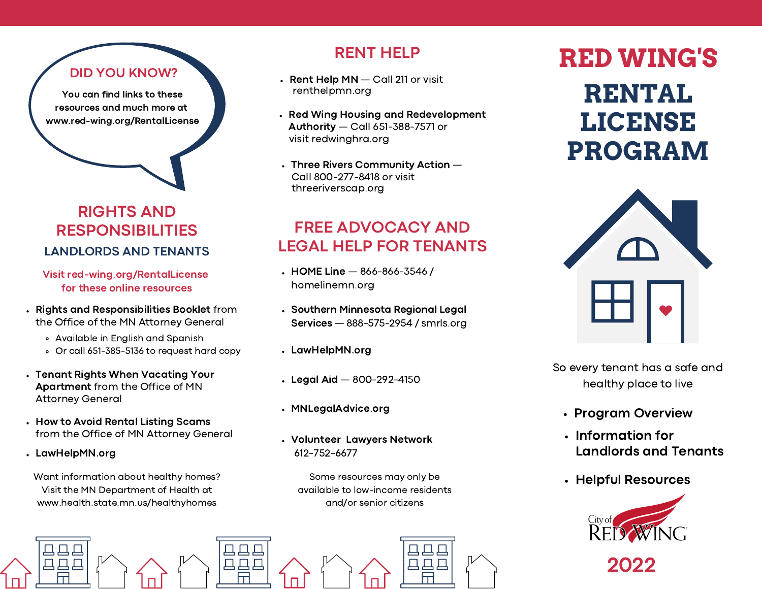#### DID YOU KNOW?

You can find links to these resources and much more at www.red-wing.org/RentalLicense

#### RIGHTS AND RESPONSIBILITIES LANDLORDS AND TENANTS

Visit red-wing.org/RentalLicense for these online resources

- Rights and Responsibilities Booklet from the Office of the MN Attorney General
	- Available in English and Spanish
	- Or call 651-385-5136 to request hard copy
- Tenant Rights When Vacating Your Apartment from the Office of MN Attorney General
- How to Avoid Rental Listing Scams from the Office of MN Attorney General
- LawHelpMN.org

马马马

日日日

Want information about healthy homes? Visit the MN Department of Health at www.health.state.mn.us/healthyhomes

## RENT HELP

- $\cdot$  Rent Help MN  $-$  Call 211 or visit renthelpmn.org
- Red Wing Housing and Redevelopment Authority — Call 651-388-7571 or visit redwinghra.org
- $\cdot$  Three Rivers Community Action  $-$ Call 800-277-8418 or visit threeriverscap.org

## FREE ADVOCACY AND LEGAL HELP FOR TENANTS

- $\cdot$  HOME Line  $-$  [866-866-3546](tel:866-866-3546) / homelinemn.org
- Southern Minnesota Regional Legal Services — 888-575-2954 / smrls.org
- LawHelpMN.org
- $\cdot$  Legal Aid  $-$  800-292-4150
- MNLegalAdvice.org

马马马

马马马

Volunteer Lawyers Network 612-752-6677

> Some resources may only be available to low-income residents and/or senior citizens

> > 口口口

 $\Box$  $\Box$ 

# **RED WING'S RENTAL LICENSE PROGRAM**



So every tenant has a safe and healthy place to live

- Program Overview
- Information for Landlords and Tenants
- Helpful Resources



2022